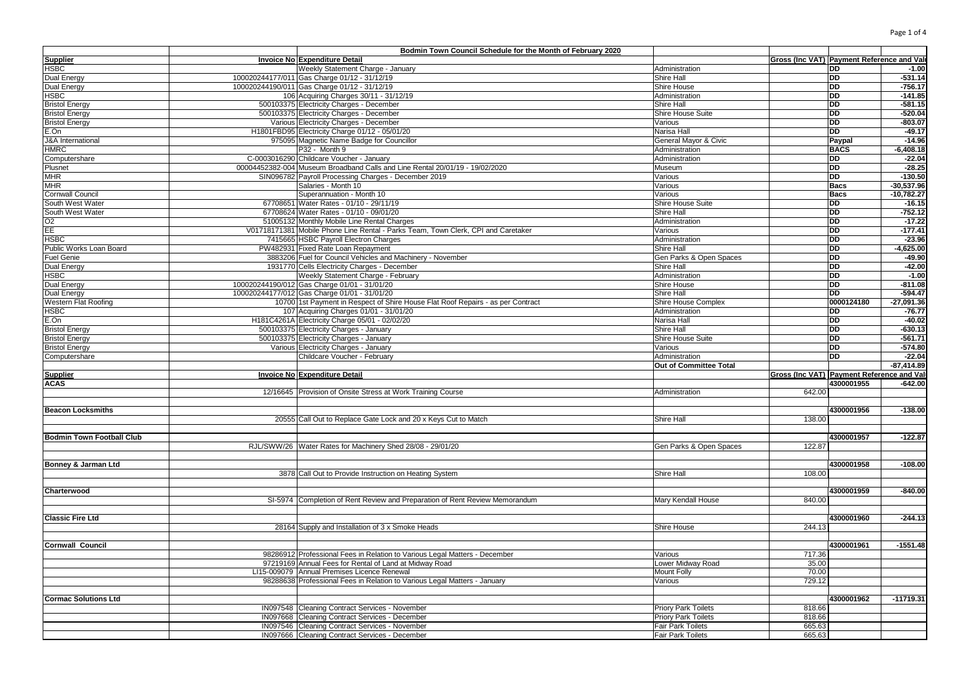| Page 1 of 4 |  |  |  |
|-------------|--|--|--|
|-------------|--|--|--|

|                                  | Bodmin Town Council Schedule for the Month of February 2020                                      |                                               |                                            |             |              |
|----------------------------------|--------------------------------------------------------------------------------------------------|-----------------------------------------------|--------------------------------------------|-------------|--------------|
| <b>Supplier</b>                  | Invoice No Expenditure Detail                                                                    |                                               | Gross (Inc VAT) Payment Reference and Valu |             |              |
| <b>HSBC</b>                      | Weekly Statement Charge - January                                                                | Administration                                |                                            | <b>DD</b>   | $-1.00$      |
| Dual Energy                      | 100020244177/011 Gas Charge 01/12 - 31/12/19                                                     | <b>Shire Hall</b>                             |                                            | <b>DD</b>   | $-531.14$    |
| Dual Energy                      | 100020244190/011 Gas Charge 01/12 - 31/12/19                                                     | Shire House                                   |                                            | <b>DD</b>   | $-756.17$    |
| <b>HSBC</b>                      | 106 Acquiring Charges 30/11 - 31/12/19                                                           | Administration                                |                                            | <b>DD</b>   | $-141.85$    |
| <b>Bristol Energy</b>            | 500103375 Electricity Charges - December                                                         | Shire Hall                                    |                                            | <b>DD</b>   | $-581.15$    |
| <b>Bristol Energy</b>            | 500103375 Electricity Charges - December                                                         | Shire House Suite                             |                                            | <b>DD</b>   | $-520.04$    |
| <b>Bristol Energy</b>            | Various Electricity Charges - December                                                           | Various                                       |                                            | <b>DD</b>   | $-803.07$    |
| E.On                             | H1801FBD95 Electricity Charge 01/12 - 05/01/20                                                   | Narisa Hall                                   |                                            | <b>DD</b>   | $-49.17$     |
| <b>J&amp;A</b> International     | 975095 Magnetic Name Badge for Councillor                                                        | General Mayor & Civic                         |                                            | Paypal      | $-14.96$     |
| <b>HMRC</b>                      | P32 - Month 9                                                                                    | Administration                                |                                            | <b>BACS</b> | $-6,408.18$  |
| Computershare                    | C-0003016290 Childcare Voucher - January                                                         | Administration                                |                                            | DD          | $-22.04$     |
| Plusnet                          | 00004452382-004 Museum Broadband Calls and Line Rental 20/01/19 - 19/02/2020                     | Museum                                        |                                            | <b>DD</b>   | $-28.25$     |
| <b>MHR</b>                       | SIN096782 Payroll Processing Charges - December 2019                                             | Various                                       |                                            | <b>DD</b>   | $-130.50$    |
| MHR                              | Salaries - Month 10                                                                              | Various                                       |                                            | <b>Bacs</b> | $-30,537.96$ |
| Cornwall Council                 | Superannuation - Month 10                                                                        |                                               |                                            |             |              |
|                                  |                                                                                                  | Various                                       |                                            | <b>Bacs</b> | $-10,782.27$ |
| South West Water                 | 67708651 Water Rates - 01/10 - 29/11/19                                                          | Shire House Suite                             |                                            | <b>DD</b>   | $-16.15$     |
| South West Water                 | 67708624 Water Rates - 01/10 - 09/01/20                                                          | <b>Shire Hall</b>                             |                                            | <b>DD</b>   | $-752.12$    |
| O2                               | 51005132 Monthly Mobile Line Rental Charges                                                      | Administration                                |                                            | <b>DD</b>   | $-17.22$     |
| EE                               | V01718171381 Mobile Phone Line Rental - Parks Team, Town Clerk, CPI and Caretaker                | Various                                       |                                            | <b>DD</b>   | $-177.41$    |
| <b>HSBC</b>                      | 7415665 HSBC Payroll Electron Charges                                                            | Administration                                |                                            | <b>DD</b>   | $-23.96$     |
| Public Works Loan Board          | PW482931 Fixed Rate Loan Repayment                                                               | Shire Hall                                    |                                            | <b>DD</b>   | $-4,625.00$  |
| <b>Fuel Genie</b>                | 3883206 Fuel for Council Vehicles and Machinery - November                                       | Gen Parks & Open Spaces                       |                                            | <b>DD</b>   | $-49.90$     |
| Dual Energy                      | 1931770 Cells Electricity Charges - December                                                     | Shire Hall                                    |                                            | <b>DD</b>   | $-42.00$     |
| <b>HSBC</b>                      | Weekly Statement Charge - February                                                               | Administration                                |                                            | <b>DD</b>   | $-1.00$      |
| Dual Energy                      | 100020244190/012 Gas Charge 01/01 - 31/01/20                                                     | Shire House                                   |                                            | <b>DD</b>   | $-811.08$    |
| Dual Energy                      | 100020244177/012 Gas Charge 01/01 - 31/01/20                                                     | Shire Hall                                    |                                            | DD          | $-594.47$    |
| Western Flat Roofing             | 10700 1st Payment in Respect of Shire House Flat Roof Repairs - as per Contract                  | Shire House Complex                           |                                            | 0000124180  | $-27,091.36$ |
| <b>HSBC</b>                      | 107 Acquiring Charges 01/01 - 31/01/20                                                           | Administration                                |                                            | <b>DD</b>   | $-76.77$     |
| E.On                             | H181C4261A Electricity Charge 05/01 - 02/02/20                                                   | Narisa Hall                                   |                                            | <b>DD</b>   | $-40.02$     |
| <b>Bristol Energy</b>            | 500103375 Electricity Charges - January                                                          | Shire Hall                                    |                                            | <b>DD</b>   | $-630.13$    |
| <b>Bristol Energy</b>            | 500103375 Electricity Charges - January                                                          | Shire House Suite                             |                                            | <b>DD</b>   | $-561.71$    |
| <b>Bristol Energy</b>            | Various Electricity Charges - January                                                            | Various                                       |                                            | <b>DD</b>   | $-574.80$    |
| Computershare                    | Childcare Voucher - February                                                                     | Administration                                |                                            | <b>DD</b>   | $-22.04$     |
|                                  |                                                                                                  | <b>Out of Committee Total</b>                 |                                            |             | $-87,414.89$ |
| <b>Supplier</b>                  | Invoice No Expenditure Detail                                                                    |                                               | Gross (Inc VAT) Payment Reference and Val  |             |              |
| <b>ACAS</b>                      |                                                                                                  |                                               |                                            | 4300001955  | $-642.00$    |
|                                  | 12/16645 Provision of Onsite Stress at Work Training Course                                      | Administration                                | 642.00                                     |             |              |
|                                  |                                                                                                  |                                               |                                            |             |              |
|                                  |                                                                                                  |                                               |                                            | 4300001956  | $-138.00$    |
| <b>Beacon Locksmiths</b>         |                                                                                                  |                                               |                                            |             |              |
|                                  | 20555 Call Out to Replace Gate Lock and 20 x Keys Cut to Match                                   | Shire Hall                                    | 138.00                                     |             |              |
|                                  |                                                                                                  |                                               |                                            |             |              |
| <b>Bodmin Town Football Club</b> |                                                                                                  |                                               |                                            | 4300001957  | $-122.87$    |
|                                  | RJL/SWW/26 Water Rates for Machinery Shed 28/08 - 29/01/20                                       | Gen Parks & Open Spaces                       | 122.87                                     |             |              |
|                                  |                                                                                                  |                                               |                                            |             |              |
| Bonney & Jarman Ltd              |                                                                                                  |                                               |                                            | 4300001958  | $-108.00$    |
|                                  | 3878 Call Out to Provide Instruction on Heating System                                           | Shire Hall                                    | 108.00                                     |             |              |
|                                  |                                                                                                  |                                               |                                            |             |              |
| Charterwood                      |                                                                                                  |                                               |                                            | 4300001959  | $-840.00$    |
|                                  | SI-5974 Completion of Rent Review and Preparation of Rent Review Memorandum                      | Mary Kendall House                            | 840.00                                     |             |              |
|                                  |                                                                                                  |                                               |                                            |             |              |
| <b>Classic Fire Ltd</b>          |                                                                                                  |                                               |                                            | 4300001960  | $-244.13$    |
|                                  |                                                                                                  |                                               |                                            |             |              |
|                                  | 28164 Supply and Installation of 3 x Smoke Heads                                                 | Shire House                                   | 244.13                                     |             |              |
|                                  |                                                                                                  |                                               |                                            |             |              |
| <b>Cornwall Council</b>          |                                                                                                  |                                               |                                            | 4300001961  | $-1551.48$   |
|                                  | 98286912 Professional Fees in Relation to Various Legal Matters - December                       | Various                                       | 717.36                                     |             |              |
|                                  | 97219169 Annual Fees for Rental of Land at Midway Road                                           |                                               | 35.00                                      |             |              |
|                                  | LI15-009079 Annual Premises Licence Renewal                                                      | Lower Midway Road<br>Mount Folly              | 70.00                                      |             |              |
|                                  |                                                                                                  |                                               |                                            |             |              |
|                                  | 98288638 Professional Fees in Relation to Various Legal Matters - January                        | Various                                       | 729.12                                     |             |              |
|                                  |                                                                                                  |                                               |                                            |             |              |
| <b>Cormac Solutions Ltd</b>      |                                                                                                  |                                               |                                            | 4300001962  | $-11719.31$  |
|                                  | IN097548 Cleaning Contract Services - November                                                   | <b>Priory Park Toilets</b>                    | 818.66                                     |             |              |
|                                  | IN097668 Cleaning Contract Services - December                                                   | <b>Priory Park Toilets</b>                    | 818.66                                     |             |              |
|                                  | IN097546 Cleaning Contract Services - November<br>IN097666 Cleaning Contract Services - December | <b>Fair Park Toilets</b><br>Fair Park Toilets | 665.63<br>665.63                           |             |              |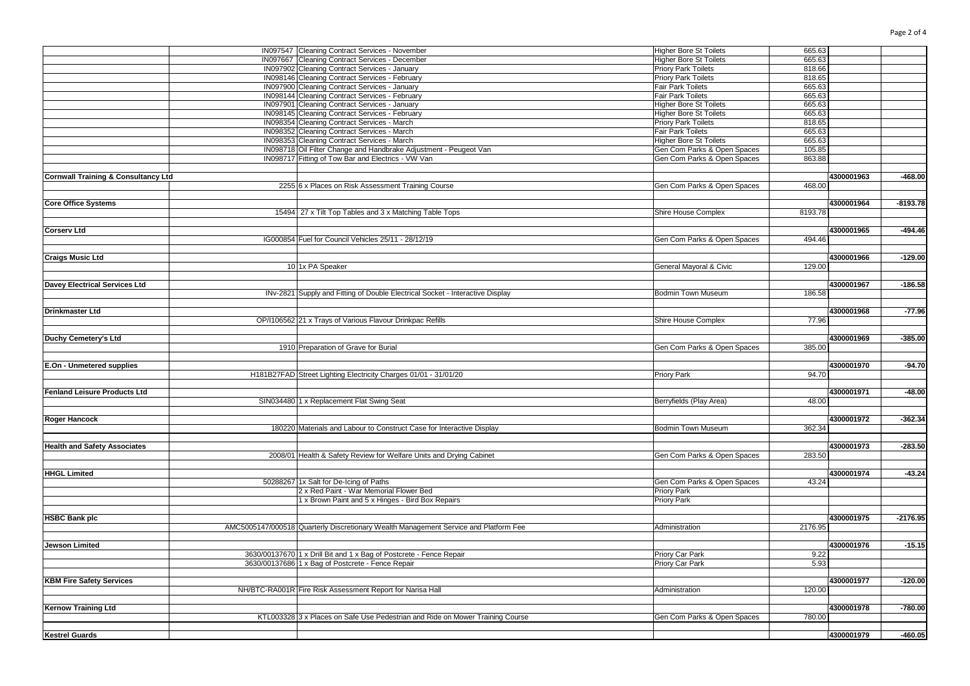|                                                | IN097547 Cleaning Contract Services - November                                       | <b>Higher Bore St Toilets</b><br>665.63 |            |            |
|------------------------------------------------|--------------------------------------------------------------------------------------|-----------------------------------------|------------|------------|
|                                                | IN097667 Cleaning Contract Services - December                                       | Higher Bore St Toilets<br>665.63        |            |            |
|                                                | IN097902 Cleaning Contract Services - January                                        | Priory Park Toilets                     | 818.66     |            |
|                                                | IN098146 Cleaning Contract Services - February                                       | <b>Priory Park Toilets</b><br>818.65    |            |            |
|                                                | IN097900 Cleaning Contract Services - January                                        | Fair Park Toilets<br>665.63             |            |            |
|                                                | IN098144 Cleaning Contract Services - February                                       | 665.63<br><b>Fair Park Toilets</b>      |            |            |
|                                                | IN097901 Cleaning Contract Services - January                                        | <b>Higher Bore St Toilets</b><br>665.63 |            |            |
|                                                | IN098145 Cleaning Contract Services - February                                       | Higher Bore St Toilets                  | 665.63     |            |
|                                                | IN098354 Cleaning Contract Services - March                                          | <b>Priory Park Toilets</b><br>818.65    |            |            |
|                                                |                                                                                      | 665.63                                  |            |            |
|                                                | IN098352 Cleaning Contract Services - March                                          | <b>Fair Park Toilets</b>                |            |            |
|                                                | IN098353 Cleaning Contract Services - March                                          | <b>Higher Bore St Toilets</b><br>665.63 |            |            |
|                                                | IN098718 Oil Filter Change and Handbrake Adjustment - Peugeot Van                    | Gen Com Parks & Open Spaces             | 105.85     |            |
|                                                | IN098717 Fitting of Tow Bar and Electrics - VW Van                                   | Gen Com Parks & Open Spaces<br>863.88   |            |            |
|                                                |                                                                                      |                                         |            |            |
| <b>Cornwall Training &amp; Consultancy Ltd</b> |                                                                                      |                                         | 4300001963 | $-468.00$  |
|                                                | 2255 6 x Places on Risk Assessment Training Course                                   | Gen Com Parks & Open Spaces             | 468.00     |            |
|                                                |                                                                                      |                                         |            |            |
| <b>Core Office Systems</b>                     |                                                                                      |                                         | 4300001964 | $-8193.78$ |
|                                                | 15494 27 x Tilt Top Tables and 3 x Matching Table Tops                               | Shire House Complex<br>8193.78          |            |            |
|                                                |                                                                                      |                                         |            |            |
| <b>Corserv Ltd</b>                             |                                                                                      |                                         | 4300001965 | $-494.46$  |
|                                                | IG000854 Fuel for Council Vehicles 25/11 - 28/12/19                                  | Gen Com Parks & Open Spaces             | 494.46     |            |
|                                                |                                                                                      |                                         |            |            |
| <b>Craigs Music Ltd</b>                        |                                                                                      |                                         | 4300001966 | $-129.00$  |
|                                                | 10 1x PA Speaker                                                                     | General Mayoral & Civic                 | 129.00     |            |
|                                                |                                                                                      |                                         |            |            |
|                                                |                                                                                      |                                         |            |            |
| <b>Davey Electrical Services Ltd</b>           |                                                                                      |                                         | 4300001967 | $-186.58$  |
|                                                | INv-2821 Supply and Fitting of Double Electrical Socket - Interactive Display        | Bodmin Town Museum                      | 186.58     |            |
|                                                |                                                                                      |                                         |            |            |
| <b>Drinkmaster Ltd</b>                         |                                                                                      |                                         | 4300001968 | $-77.96$   |
|                                                | OP/I106562 21 x Trays of Various Flavour Drinkpac Refills                            | Shire House Complex                     | 77.96      |            |
|                                                |                                                                                      |                                         |            |            |
| Duchy Cemetery's Ltd                           |                                                                                      |                                         | 4300001969 | $-385.00$  |
|                                                | 1910 Preparation of Grave for Burial                                                 | Gen Com Parks & Open Spaces<br>385.00   |            |            |
|                                                |                                                                                      |                                         |            |            |
| E.On - Unmetered supplies                      |                                                                                      |                                         | 4300001970 | $-94.70$   |
|                                                | H181B27FAD Street Lighting Electricity Charges 01/01 - 31/01/20                      | Priory Park                             | 94.70      |            |
|                                                |                                                                                      |                                         |            |            |
|                                                |                                                                                      |                                         |            |            |
| <b>Fenland Leisure Products Ltd</b>            |                                                                                      |                                         | 4300001971 | $-48.00$   |
|                                                | SIN034480 1 x Replacement Flat Swing Seat                                            | Berryfields (Play Area)                 | 48.00      |            |
|                                                |                                                                                      |                                         |            |            |
| <b>Roger Hancock</b>                           |                                                                                      |                                         | 4300001972 | $-362.34$  |
|                                                | 180220 Materials and Labour to Construct Case for Interactive Display                | 362.34<br><b>Bodmin Town Museum</b>     |            |            |
|                                                |                                                                                      |                                         |            |            |
| <b>Health and Safety Associates</b>            |                                                                                      |                                         | 4300001973 | $-283.50$  |
|                                                | 2008/01 Health & Safety Review for Welfare Units and Drying Cabinet                  | Gen Com Parks & Open Spaces<br>283.50   |            |            |
|                                                |                                                                                      |                                         |            |            |
| <b>HHGL Limited</b>                            |                                                                                      |                                         | 4300001974 | $-43.24$   |
|                                                | 50288267 1x Salt for De-Icing of Paths                                               | Gen Com Parks & Open Spaces             | 43.24      |            |
|                                                | 2 x Red Paint - War Memorial Flower Bed                                              | <b>Priory Park</b>                      |            |            |
|                                                | 1 x Brown Paint and 5 x Hinges - Bird Box Repairs                                    | Priory Park                             |            |            |
|                                                |                                                                                      |                                         |            |            |
| <b>HSBC Bank plc</b>                           |                                                                                      |                                         | 4300001975 | $-2176.95$ |
|                                                |                                                                                      | 2176.95                                 |            |            |
|                                                | AMC5005147/000518 Quarterly Discretionary Wealth Management Service and Platform Fee | Administration                          |            |            |
|                                                |                                                                                      |                                         |            |            |
| <b>Jewson Limited</b>                          |                                                                                      |                                         | 4300001976 | $-15.15$   |
|                                                | 3630/00137670 1 x Drill Bit and 1 x Bag of Postcrete - Fence Repair                  | Priory Car Park                         | 9.22       |            |
|                                                | 3630/00137686 1 x Bag of Postcrete - Fence Repair                                    | Priory Car Park                         | 5.93       |            |
|                                                |                                                                                      |                                         |            |            |
| <b>KBM Fire Safety Services</b>                |                                                                                      |                                         | 4300001977 | $-120.00$  |
|                                                | NH/BTC-RA001R Fire Risk Assessment Report for Narisa Hall                            | Administration                          | 120.00     |            |
|                                                |                                                                                      |                                         |            |            |
| <b>Kernow Training Ltd</b>                     |                                                                                      |                                         | 4300001978 | $-780.00$  |
|                                                | KTL003328 3 x Places on Safe Use Pedestrian and Ride on Mower Training Course        | Gen Com Parks & Open Spaces             | 780.00     |            |
|                                                |                                                                                      |                                         |            |            |
| <b>Kestrel Guards</b>                          |                                                                                      |                                         | 4300001979 | $-460.05$  |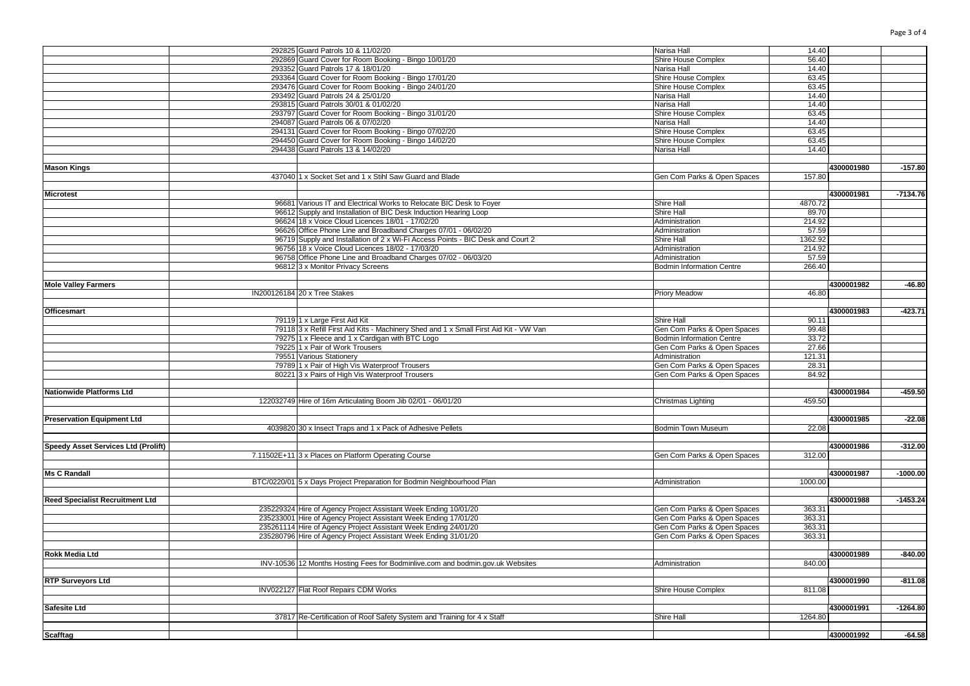|                                        | 292825 Guard Patrols 10 & 11/02/20                                                    | Narisa Hall                      | 14.40   |            |            |
|----------------------------------------|---------------------------------------------------------------------------------------|----------------------------------|---------|------------|------------|
|                                        | 292869 Guard Cover for Room Booking - Bingo 10/01/20                                  | Shire House Complex              | 56.40   |            |            |
|                                        | 293352 Guard Patrols 17 & 18/01/20                                                    | Narisa Hall                      | 14.40   |            |            |
|                                        |                                                                                       |                                  |         |            |            |
|                                        | 293364 Guard Cover for Room Booking - Bingo 17/01/20                                  | Shire House Complex              | 63.45   |            |            |
|                                        | 293476 Guard Cover for Room Booking - Bingo 24/01/20                                  | Shire House Complex              | 63.45   |            |            |
|                                        | 293492 Guard Patrols 24 & 25/01/20                                                    | Narisa Hall                      | 14.40   |            |            |
|                                        | 293815 Guard Patrols 30/01 & 01/02/20                                                 | Narisa Hall                      | 14.40   |            |            |
|                                        | 293797 Guard Cover for Room Booking - Bingo 31/01/20                                  | Shire House Complex              | 63.45   |            |            |
|                                        |                                                                                       |                                  |         |            |            |
|                                        | 294087 Guard Patrols 06 & 07/02/20                                                    | Narisa Hall                      | 14.40   |            |            |
|                                        | 294131 Guard Cover for Room Booking - Bingo 07/02/20                                  | Shire House Complex              | 63.45   |            |            |
|                                        | 294450 Guard Cover for Room Booking - Bingo 14/02/20                                  | Shire House Complex              | 63.45   |            |            |
|                                        | 294438 Guard Patrols 13 & 14/02/20                                                    | Narisa Hall                      | 14.40   |            |            |
|                                        |                                                                                       |                                  |         |            |            |
|                                        |                                                                                       |                                  |         |            |            |
| <b>Mason Kings</b>                     |                                                                                       |                                  |         | 4300001980 | $-157.80$  |
|                                        | 437040 1 x Socket Set and 1 x Stihl Saw Guard and Blade                               | Gen Com Parks & Open Spaces      | 157.80  |            |            |
|                                        |                                                                                       |                                  |         |            |            |
| <b>Microtest</b>                       |                                                                                       |                                  |         | 4300001981 | $-7134.76$ |
|                                        |                                                                                       |                                  |         |            |            |
|                                        | 96681 Various IT and Electrical Works to Relocate BIC Desk to Foyer                   | Shire Hall                       | 4870.72 |            |            |
|                                        | 96612 Supply and Installation of BIC Desk Induction Hearing Loop                      | Shire Hall                       | 89.70   |            |            |
|                                        | 96624 18 x Voice Cloud Licences 18/01 - 17/02/20                                      | Administration                   | 214.92  |            |            |
|                                        | 96626 Office Phone Line and Broadband Charges 07/01 - 06/02/20                        | Administration                   | 57.59   |            |            |
|                                        |                                                                                       |                                  |         |            |            |
|                                        | 96719 Supply and Installation of 2 x Wi-Fi Access Points - BIC Desk and Court 2       | Shire Hall                       | 1362.92 |            |            |
|                                        | 96756 18 x Voice Cloud Licences 18/02 - 17/03/20                                      | Administration                   | 214.92  |            |            |
|                                        | 96758 Office Phone Line and Broadband Charges 07/02 - 06/03/20                        | Administration                   | 57.59   |            |            |
|                                        | 96812 3 x Monitor Privacy Screens                                                     | <b>Bodmin Information Centre</b> | 266.40  |            |            |
|                                        |                                                                                       |                                  |         |            |            |
|                                        |                                                                                       |                                  |         |            |            |
| <b>Mole Valley Farmers</b>             |                                                                                       |                                  |         | 4300001982 | $-46.80$   |
|                                        | IN200126184 20 x Tree Stakes                                                          | <b>Priory Meadow</b>             | 46.80   |            |            |
|                                        |                                                                                       |                                  |         |            |            |
| <b>Officesmart</b>                     |                                                                                       |                                  |         | 4300001983 | $-423.71$  |
|                                        |                                                                                       |                                  |         |            |            |
|                                        | 79119 1 x Large First Aid Kit                                                         | <b>Shire Hall</b>                | 90.11   |            |            |
|                                        | 79118 3 x Refill First Aid Kits - Machinery Shed and 1 x Small First Aid Kit - VW Van | Gen Com Parks & Open Spaces      | 99.48   |            |            |
|                                        | 79275 1 x Fleece and 1 x Cardigan with BTC Logo                                       | <b>Bodmin Information Centre</b> | 33.72   |            |            |
|                                        | 79225 1 x Pair of Work Trousers                                                       | Gen Com Parks & Open Spaces      | 27.66   |            |            |
|                                        | 79551 Various Stationery                                                              |                                  |         |            |            |
|                                        |                                                                                       | Administration                   | 121.31  |            |            |
|                                        | 79789 1 x Pair of High Vis Waterproof Trousers                                        | Gen Com Parks & Open Spaces      | 28.31   |            |            |
|                                        | 80221 3 x Pairs of High Vis Waterproof Trousers                                       | Gen Com Parks & Open Spaces      | 84.92   |            |            |
|                                        |                                                                                       |                                  |         |            |            |
| <b>Nationwide Platforms Ltd</b>        |                                                                                       |                                  |         | 4300001984 | $-459.50$  |
|                                        |                                                                                       |                                  |         |            |            |
|                                        | 122032749 Hire of 16m Articulating Boom Jib 02/01 - 06/01/20                          | Christmas Lighting               | 459.50  |            |            |
|                                        |                                                                                       |                                  |         |            |            |
| <b>Preservation Equipment Ltd</b>      |                                                                                       |                                  |         | 4300001985 | $-22.08$   |
|                                        | 4039820 30 x Insect Traps and 1 x Pack of Adhesive Pellets                            | <b>Bodmin Town Museum</b>        | 22.08   |            |            |
|                                        |                                                                                       |                                  |         |            |            |
|                                        |                                                                                       |                                  |         |            |            |
| Speedy Asset Services Ltd (Prolift)    |                                                                                       |                                  |         | 4300001986 | $-312.00$  |
|                                        | 7.11502E+11 3 x Places on Platform Operating Course                                   | Gen Com Parks & Open Spaces      | 312.00  |            |            |
|                                        |                                                                                       |                                  |         |            |            |
| <b>Ms C Randall</b>                    |                                                                                       |                                  |         | 4300001987 | $-1000.00$ |
|                                        |                                                                                       |                                  |         |            |            |
|                                        | BTC/0220/01 5 x Days Project Preparation for Bodmin Neighbourhood Plan                | Administration                   | 1000.00 |            |            |
|                                        |                                                                                       |                                  |         |            |            |
| <b>Reed Specialist Recruitment Ltd</b> |                                                                                       |                                  |         | 4300001988 | $-1453.24$ |
|                                        | 235229324 Hire of Agency Project Assistant Week Ending 10/01/20                       | Gen Com Parks & Open Spaces      | 363.31  |            |            |
|                                        |                                                                                       |                                  | 363.31  |            |            |
|                                        | 235233001 Hire of Agency Project Assistant Week Ending 17/01/20                       | Gen Com Parks & Open Spaces      |         |            |            |
|                                        | 235261114 Hire of Agency Project Assistant Week Ending 24/01/20                       | Gen Com Parks & Open Spaces      | 363.31  |            |            |
|                                        | 235280796 Hire of Agency Project Assistant Week Ending 31/01/20                       | Gen Com Parks & Open Spaces      | 363.31  |            |            |
|                                        |                                                                                       |                                  |         |            |            |
| <b>Rokk Media Ltd</b>                  |                                                                                       |                                  |         | 4300001989 | $-840.00$  |
|                                        |                                                                                       |                                  |         |            |            |
|                                        | INV-10536 12 Months Hosting Fees for Bodminlive.com and bodmin.gov.uk Websites        | Administration                   | 840.00  |            |            |
|                                        |                                                                                       |                                  |         |            |            |
| <b>RTP Surveyors Ltd</b>               |                                                                                       |                                  |         | 4300001990 | $-811.08$  |
|                                        | INV022127 Flat Roof Repairs CDM Works                                                 | Shire House Complex              | 811.08  |            |            |
|                                        |                                                                                       |                                  |         |            |            |
|                                        |                                                                                       |                                  |         |            |            |
| <b>Safesite Ltd</b>                    |                                                                                       |                                  |         | 4300001991 | $-1264.80$ |
|                                        | 37817 Re-Certification of Roof Safety System and Training for 4 x Staff               | Shire Hall                       | 1264.80 |            |            |
|                                        |                                                                                       |                                  |         |            |            |
|                                        |                                                                                       |                                  |         | 4300001992 | $-64.58$   |
| <b>Scafftag</b>                        |                                                                                       |                                  |         |            |            |